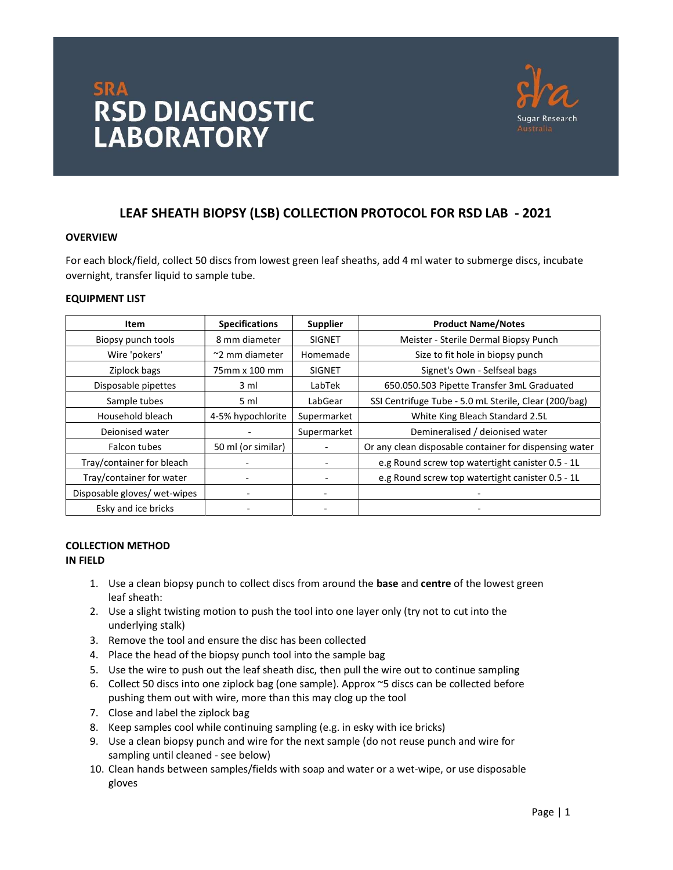# **SRA<br>RSD DIAGNOSTIC<br>LABORATORY LABORATORY**



# LEAF SHEATH BIOPSY (LSB) COLLECTION PROTOCOL FOR RSD LAB - 2021

# **OVERVIEW**

For each block/field, collect 50 discs from lowest green leaf sheaths, add 4 ml water to submerge discs, incubate overnight, transfer liquid to sample tube.

# EQUIPMENT LIST

| Item                         | <b>Specifications</b> | <b>Supplier</b>          | <b>Product Name/Notes</b>                              |
|------------------------------|-----------------------|--------------------------|--------------------------------------------------------|
| Biopsy punch tools           | 8 mm diameter         | <b>SIGNET</b>            | Meister - Sterile Dermal Biopsy Punch                  |
| Wire 'pokers'                | $\sim$ 2 mm diameter  | Homemade                 | Size to fit hole in biopsy punch                       |
| Ziplock bags                 | 75mm x 100 mm         | <b>SIGNET</b>            | Signet's Own - Selfseal bags                           |
| Disposable pipettes          | 3 ml                  | LabTek                   | 650.050.503 Pipette Transfer 3mL Graduated             |
| Sample tubes                 | 5 ml                  | LabGear                  | SSI Centrifuge Tube - 5.0 mL Sterile, Clear (200/bag)  |
| Household bleach             | 4-5% hypochlorite     | Supermarket              | White King Bleach Standard 2.5L                        |
| Deionised water              |                       | Supermarket              | Demineralised / deionised water                        |
| Falcon tubes                 | 50 ml (or similar)    |                          | Or any clean disposable container for dispensing water |
| Tray/container for bleach    |                       | $\overline{\phantom{a}}$ | e.g Round screw top watertight canister 0.5 - 1L       |
| Tray/container for water     |                       |                          | e.g Round screw top watertight canister 0.5 - 1L       |
| Disposable gloves/ wet-wipes |                       | -                        |                                                        |
| Esky and ice bricks          |                       | $\overline{\phantom{a}}$ |                                                        |

# COLLECTION METHOD IN FIELD

- 1. Use a clean biopsy punch to collect discs from around the base and centre of the lowest green leaf sheath:
- 2. Use a slight twisting motion to push the tool into one layer only (try not to cut into the underlying stalk)
- 3. Remove the tool and ensure the disc has been collected
- 4. Place the head of the biopsy punch tool into the sample bag
- 5. Use the wire to push out the leaf sheath disc, then pull the wire out to continue sampling
- 6. Collect 50 discs into one ziplock bag (one sample). Approx ~5 discs can be collected before pushing them out with wire, more than this may clog up the tool
- 7. Close and label the ziplock bag
- 8. Keep samples cool while continuing sampling (e.g. in esky with ice bricks)
- 9. Use a clean biopsy punch and wire for the next sample (do not reuse punch and wire for sampling until cleaned - see below)
- 10. Clean hands between samples/fields with soap and water or a wet-wipe, or use disposable gloves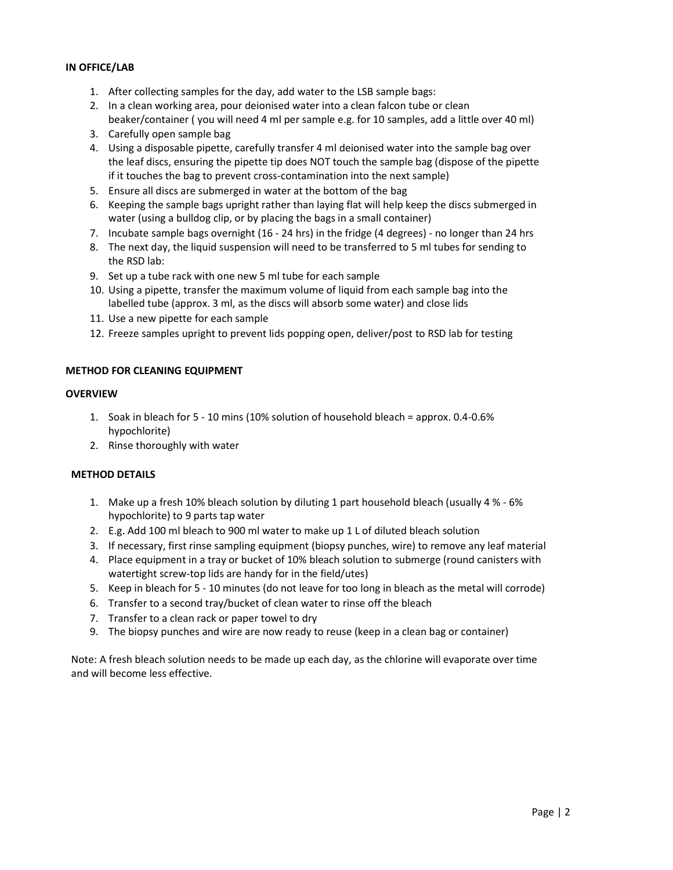# IN OFFICE/LAB

- 1. After collecting samples for the day, add water to the LSB sample bags:
- 2. In a clean working area, pour deionised water into a clean falcon tube or clean beaker/container ( you will need 4 ml per sample e.g. for 10 samples, add a little over 40 ml)
- 3. Carefully open sample bag
- 4. Using a disposable pipette, carefully transfer 4 ml deionised water into the sample bag over the leaf discs, ensuring the pipette tip does NOT touch the sample bag (dispose of the pipette if it touches the bag to prevent cross-contamination into the next sample)
- 5. Ensure all discs are submerged in water at the bottom of the bag
- 6. Keeping the sample bags upright rather than laying flat will help keep the discs submerged in water (using a bulldog clip, or by placing the bags in a small container)
- 7. Incubate sample bags overnight (16 24 hrs) in the fridge (4 degrees) no longer than 24 hrs
- 8. The next day, the liquid suspension will need to be transferred to 5 ml tubes for sending to the RSD lab:
- 9. Set up a tube rack with one new 5 ml tube for each sample
- 10. Using a pipette, transfer the maximum volume of liquid from each sample bag into the labelled tube (approx. 3 ml, as the discs will absorb some water) and close lids
- 11. Use a new pipette for each sample
- 12. Freeze samples upright to prevent lids popping open, deliver/post to RSD lab for testing

# METHOD FOR CLEANING EQUIPMENT

# **OVERVIEW**

- 1. Soak in bleach for 5 10 mins (10% solution of household bleach = approx. 0.4-0.6% hypochlorite)
- 2. Rinse thoroughly with water

# METHOD DETAILS

- 1. Make up a fresh 10% bleach solution by diluting 1 part household bleach (usually 4 % 6% hypochlorite) to 9 parts tap water
- 2. E.g. Add 100 ml bleach to 900 ml water to make up 1 L of diluted bleach solution
- 3. If necessary, first rinse sampling equipment (biopsy punches, wire) to remove any leaf material
- 4. Place equipment in a tray or bucket of 10% bleach solution to submerge (round canisters with watertight screw-top lids are handy for in the field/utes)
- 5. Keep in bleach for 5 10 minutes (do not leave for too long in bleach as the metal will corrode)
- 6. Transfer to a second tray/bucket of clean water to rinse off the bleach
- 7. Transfer to a clean rack or paper towel to dry
- 9. The biopsy punches and wire are now ready to reuse (keep in a clean bag or container)

Note: A fresh bleach solution needs to be made up each day, as the chlorine will evaporate over time and will become less effective.